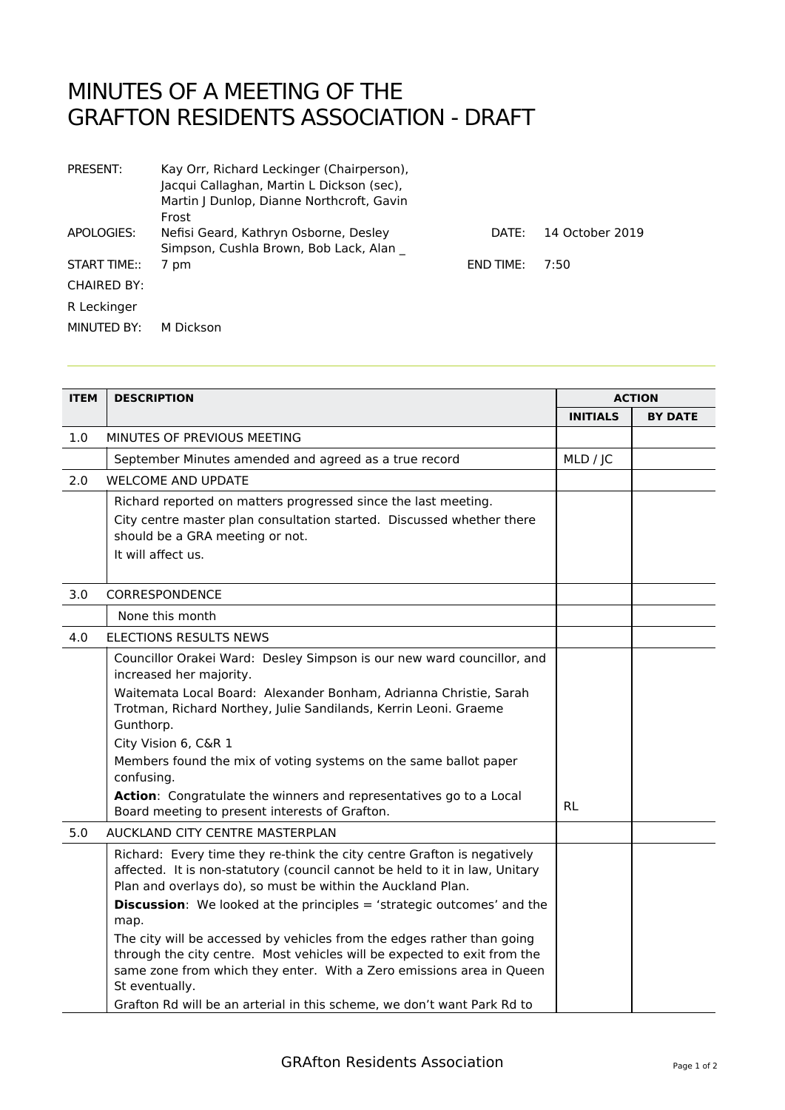## MINUTES OF A MEETING OF THE GRAFTON RESIDENTS ASSOCIATION - DRAFT

| PRESENT:           | Kay Orr, Richard Leckinger (Chairperson),<br>Jacqui Callaghan, Martin L Dickson (sec),<br>Martin J Dunlop, Dianne Northcroft, Gavin<br>Frost |             |                 |
|--------------------|----------------------------------------------------------------------------------------------------------------------------------------------|-------------|-----------------|
| APOLOGIES:         | Nefisi Geard, Kathryn Osborne, Desley<br>Simpson, Cushla Brown, Bob Lack, Alan                                                               | DATF:       | 14 October 2019 |
| START TIME::       | 7 pm                                                                                                                                         | $FND$ TIME: | 7:50            |
| <b>CHAIRED BY:</b> |                                                                                                                                              |             |                 |
| R Leckinger        |                                                                                                                                              |             |                 |
| MINUTED BY:        | M Dickson                                                                                                                                    |             |                 |

| <b>ITEM</b> | <b>DESCRIPTION</b>                                                                                                                                                                                                         | <b>ACTION</b>   |                |
|-------------|----------------------------------------------------------------------------------------------------------------------------------------------------------------------------------------------------------------------------|-----------------|----------------|
|             |                                                                                                                                                                                                                            | <b>INITIALS</b> | <b>BY DATE</b> |
| 1.0         | MINUTES OF PREVIOUS MEETING                                                                                                                                                                                                |                 |                |
|             | September Minutes amended and agreed as a true record                                                                                                                                                                      | MLD / JC        |                |
| 2.0         | <b>WELCOME AND UPDATE</b>                                                                                                                                                                                                  |                 |                |
|             | Richard reported on matters progressed since the last meeting.                                                                                                                                                             |                 |                |
|             | City centre master plan consultation started. Discussed whether there<br>should be a GRA meeting or not.                                                                                                                   |                 |                |
|             | It will affect us.                                                                                                                                                                                                         |                 |                |
| 3.0         | CORRESPONDENCE                                                                                                                                                                                                             |                 |                |
|             | None this month                                                                                                                                                                                                            |                 |                |
| 4.0         | <b>ELECTIONS RESULTS NEWS</b>                                                                                                                                                                                              |                 |                |
|             | Councillor Orakei Ward: Desley Simpson is our new ward councillor, and<br>increased her majority.                                                                                                                          |                 |                |
|             | Waitemata Local Board: Alexander Bonham, Adrianna Christie, Sarah<br>Trotman, Richard Northey, Julie Sandilands, Kerrin Leoni. Graeme<br>Gunthorp.                                                                         |                 |                |
|             | City Vision 6, C&R 1                                                                                                                                                                                                       |                 |                |
|             | Members found the mix of voting systems on the same ballot paper<br>confusing.                                                                                                                                             |                 |                |
|             | Action: Congratulate the winners and representatives go to a Local<br>Board meeting to present interests of Grafton.                                                                                                       | <b>RL</b>       |                |
| 5.0         | AUCKLAND CITY CENTRE MASTERPLAN                                                                                                                                                                                            |                 |                |
|             | Richard: Every time they re-think the city centre Grafton is negatively<br>affected. It is non-statutory (council cannot be held to it in law, Unitary<br>Plan and overlays do), so must be within the Auckland Plan.      |                 |                |
|             | <b>Discussion:</b> We looked at the principles = 'strategic outcomes' and the<br>map.                                                                                                                                      |                 |                |
|             | The city will be accessed by vehicles from the edges rather than going<br>through the city centre. Most vehicles will be expected to exit from the<br>same zone from which they enter. With a Zero emissions area in Queen |                 |                |
|             | St eventually.<br>Grafton Rd will be an arterial in this scheme, we don't want Park Rd to                                                                                                                                  |                 |                |